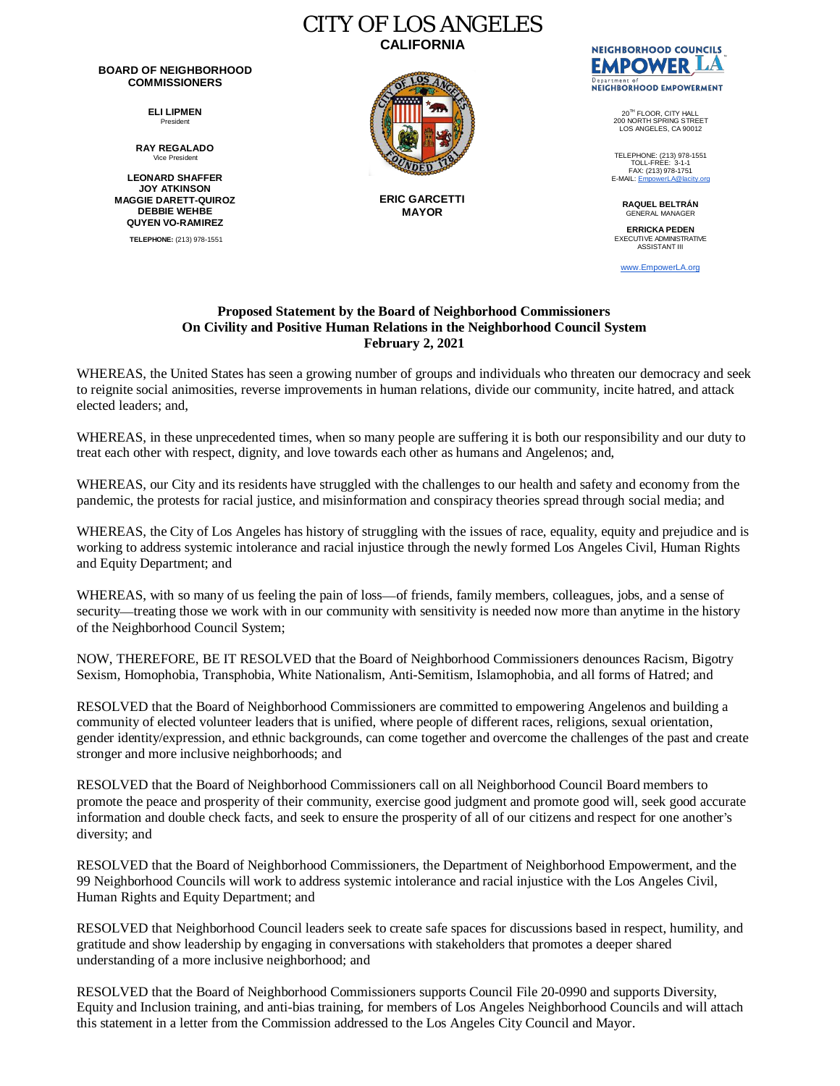## **BOARD OF NEIGHBORHOOD COMMISSIONERS**

**ELI LIPMEN** President

**RAY REGALADO** Vice President

**LEONARD SHAFFER JOY ATKINSON MAGGIE DARETT-QUIROZ DEBBIE WEHBE QUYEN VO-RAMIREZ TELEPHONE:** (213) 978-1551



CITY OF LOS ANGELES **CALIFORNIA**

> **ERIC GARCETTI MAYOR**



20TH FLOOR, CITY HALL 200 NORTH SPRING STREET LOS ANGELES, CA 90012

TELEPHONE: (213) 978-1551 TOLL-FREE: 3-1-1 FAX: (213) 978-1751<br>E-MAIL: <u>[EmpowerLA@lacity.org](mailto:EmpowerLA@lacity.org)</u>

> **RAQUEL BELTRÁN** GENERAL MANAGER

**ERRICKA PEDEN** EXECUTIVE ADMINISTRATIVE ASSISTANT III

[www.EmpowerLA.org](http://www.empowerla.org/)

## **Proposed Statement by the Board of Neighborhood Commissioners On Civility and Positive Human Relations in the Neighborhood Council System February 2, 2021**

WHEREAS, the United States has seen a growing number of groups and individuals who threaten our democracy and seek to reignite social animosities, reverse improvements in human relations, divide our community, incite hatred, and attack elected leaders; and,

WHEREAS, in these unprecedented times, when so many people are suffering it is both our responsibility and our duty to treat each other with respect, dignity, and love towards each other as humans and Angelenos; and,

WHEREAS, our City and its residents have struggled with the challenges to our health and safety and economy from the pandemic, the protests for racial justice, and misinformation and conspiracy theories spread through social media; and

WHEREAS, the City of Los Angeles has history of struggling with the issues of race, equality, equity and prejudice and is working to address systemic intolerance and racial injustice through the newly formed Los Angeles Civil, Human Rights and Equity Department; and

WHEREAS, with so many of us feeling the pain of loss—of friends, family members, colleagues, jobs, and a sense of security—treating those we work with in our community with sensitivity is needed now more than anytime in the history of the Neighborhood Council System;

NOW, THEREFORE, BE IT RESOLVED that the Board of Neighborhood Commissioners denounces Racism, Bigotry Sexism, Homophobia, Transphobia, White Nationalism, Anti-Semitism, Islamophobia, and all forms of Hatred; and

RESOLVED that the Board of Neighborhood Commissioners are committed to empowering Angelenos and building a community of elected volunteer leaders that is unified, where people of different races, religions, sexual orientation, gender identity/expression, and ethnic backgrounds, can come together and overcome the challenges of the past and create stronger and more inclusive neighborhoods; and

RESOLVED that the Board of Neighborhood Commissioners call on all Neighborhood Council Board members to promote the peace and prosperity of their community, exercise good judgment and promote good will, seek good accurate information and double check facts, and seek to ensure the prosperity of all of our citizens and respect for one another's diversity; and

RESOLVED that the Board of Neighborhood Commissioners, the Department of Neighborhood Empowerment, and the 99 Neighborhood Councils will work to address systemic intolerance and racial injustice with the Los Angeles Civil, Human Rights and Equity Department; and

RESOLVED that Neighborhood Council leaders seek to create safe spaces for discussions based in respect, humility, and gratitude and show leadership by engaging in conversations with stakeholders that promotes a deeper shared understanding of a more inclusive neighborhood; and

RESOLVED that the Board of Neighborhood Commissioners supports Council File 20-0990 and supports Diversity, Equity and Inclusion training, and anti-bias training, for members of Los Angeles Neighborhood Councils and will attach this statement in a letter from the Commission addressed to the Los Angeles City Council and Mayor.